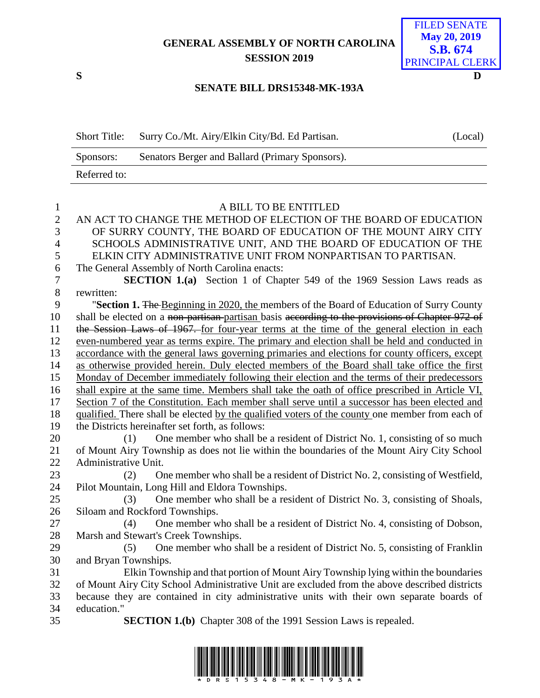# **GENERAL ASSEMBLY OF NORTH CAROLINA SESSION 2019**



### **SENATE BILL DRS15348-MK-193A**

| <b>Short Title:</b> | Surry Co./Mt. Airy/Elkin City/Bd. Ed Partisan.  | (Local) |
|---------------------|-------------------------------------------------|---------|
| Sponsors:           | Senators Berger and Ballard (Primary Sponsors). |         |
| Referred to:        |                                                 |         |

| $\mathbf{1}$   | A BILL TO BE ENTITLED                                                                           |
|----------------|-------------------------------------------------------------------------------------------------|
| $\overline{2}$ | AN ACT TO CHANGE THE METHOD OF ELECTION OF THE BOARD OF EDUCATION                               |
| 3              | OF SURRY COUNTY, THE BOARD OF EDUCATION OF THE MOUNT AIRY CITY                                  |
| $\overline{4}$ | SCHOOLS ADMINISTRATIVE UNIT, AND THE BOARD OF EDUCATION OF THE                                  |
| 5              | ELKIN CITY ADMINISTRATIVE UNIT FROM NONPARTISAN TO PARTISAN.                                    |
| 6              | The General Assembly of North Carolina enacts:                                                  |
| $\tau$         | <b>SECTION 1.(a)</b> Section 1 of Chapter 549 of the 1969 Session Laws reads as                 |
| 8              | rewritten:                                                                                      |
| 9              | "Section 1. The Beginning in 2020, the members of the Board of Education of Surry County        |
| 10             | shall be elected on a non-partisan-partisan basis according to the provisions of Chapter 972 of |
| 11             | the Session Laws of 1967. for four-year terms at the time of the general election in each       |
| 12             | even-numbered year as terms expire. The primary and election shall be held and conducted in     |
| 13             | accordance with the general laws governing primaries and elections for county officers, except  |
| 14             | as otherwise provided herein. Duly elected members of the Board shall take office the first     |
| 15             | Monday of December immediately following their election and the terms of their predecessors     |
| 16             | shall expire at the same time. Members shall take the oath of office prescribed in Article VI,  |
| 17             | Section 7 of the Constitution. Each member shall serve until a successor has been elected and   |
| 18             | qualified. There shall be elected by the qualified voters of the county one member from each of |
| 19             | the Districts hereinafter set forth, as follows:                                                |
| 20             | One member who shall be a resident of District No. 1, consisting of so much<br>(1)              |
| 21             | of Mount Airy Township as does not lie within the boundaries of the Mount Airy City School      |
| 22             | Administrative Unit.                                                                            |
| 23             | One member who shall be a resident of District No. 2, consisting of Westfield,<br>(2)           |
| 24             | Pilot Mountain, Long Hill and Eldora Townships.                                                 |
| 25             | One member who shall be a resident of District No. 3, consisting of Shoals,<br>(3)              |
| 26             | Siloam and Rockford Townships.                                                                  |
| 27             | One member who shall be a resident of District No. 4, consisting of Dobson,<br>(4)              |
| 28             | Marsh and Stewart's Creek Townships.                                                            |
| 29             | One member who shall be a resident of District No. 5, consisting of Franklin<br>(5)             |
| 30             | and Bryan Townships.                                                                            |
| 31             | Elkin Township and that portion of Mount Airy Township lying within the boundaries              |
| 32             | of Mount Airy City School Administrative Unit are excluded from the above described districts   |
| 33             | because they are contained in city administrative units with their own separate boards of       |
| 34             | education."                                                                                     |
| 35             | <b>SECTION 1.(b)</b> Chapter 308 of the 1991 Session Laws is repealed.                          |
|                |                                                                                                 |

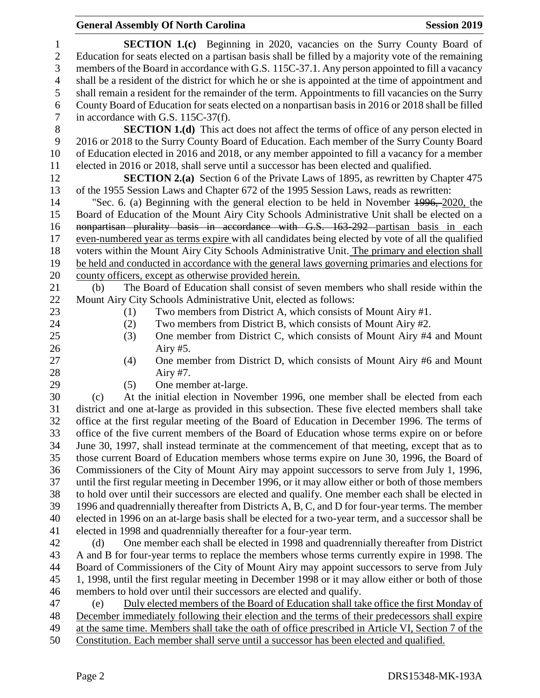# **General Assembly Of North Carolina Session 2019**

| $\mathbf{1}$   | <b>SECTION 1.(c)</b> Beginning in 2020, vacancies on the Surry County Board of                                                                                                              |
|----------------|---------------------------------------------------------------------------------------------------------------------------------------------------------------------------------------------|
| $\sqrt{2}$     | Education for seats elected on a partisan basis shall be filled by a majority vote of the remaining                                                                                         |
| 3              | members of the Board in accordance with G.S. 115C-37.1. Any person appointed to fill a vacancy                                                                                              |
| $\overline{4}$ | shall be a resident of the district for which he or she is appointed at the time of appointment and                                                                                         |
| 5              | shall remain a resident for the remainder of the term. Appointments to fill vacancies on the Surry                                                                                          |
| 6              | County Board of Education for seats elected on a nonpartisan basis in 2016 or 2018 shall be filled                                                                                          |
| 7              | in accordance with G.S. 115C-37(f).                                                                                                                                                         |
| $8\phantom{1}$ | <b>SECTION 1.(d)</b> This act does not affect the terms of office of any person elected in                                                                                                  |
| 9              | 2016 or 2018 to the Surry County Board of Education. Each member of the Surry County Board                                                                                                  |
| 10             | of Education elected in 2016 and 2018, or any member appointed to fill a vacancy for a member                                                                                               |
| 11             | elected in 2016 or 2018, shall serve until a successor has been elected and qualified.                                                                                                      |
| 12             | <b>SECTION 2.(a)</b> Section 6 of the Private Laws of 1895, as rewritten by Chapter 475                                                                                                     |
| 13             | of the 1955 Session Laws and Chapter 672 of the 1995 Session Laws, reads as rewritten:                                                                                                      |
| 14             | "Sec. 6. (a) Beginning with the general election to be held in November 4996, 2020, the                                                                                                     |
| 15             | Board of Education of the Mount Airy City Schools Administrative Unit shall be elected on a                                                                                                 |
| 16             | nonpartisan plurality basis in accordance with G.S. 163-292 partisan basis in each                                                                                                          |
| 17             | even-numbered year as terms expire with all candidates being elected by vote of all the qualified                                                                                           |
| 18             | voters within the Mount Airy City Schools Administrative Unit. The primary and election shall                                                                                               |
| 19             | be held and conducted in accordance with the general laws governing primaries and elections for                                                                                             |
| 20             | county officers, except as otherwise provided herein.                                                                                                                                       |
| 21             | The Board of Education shall consist of seven members who shall reside within the<br>(b)                                                                                                    |
| 22             | Mount Airy City Schools Administrative Unit, elected as follows:                                                                                                                            |
| 23             | Two members from District A, which consists of Mount Airy #1.<br>(1)                                                                                                                        |
| 24             | Two members from District B, which consists of Mount Airy #2.<br>(2)                                                                                                                        |
| 25             | One member from District C, which consists of Mount Airy #4 and Mount<br>(3)                                                                                                                |
| 26             | Airy $#5$ .                                                                                                                                                                                 |
| 27             | One member from District D, which consists of Mount Airy #6 and Mount<br>(4)                                                                                                                |
| 28             | Airy #7.                                                                                                                                                                                    |
| 29             | (5)<br>One member at-large.                                                                                                                                                                 |
| 30             | At the initial election in November 1996, one member shall be elected from each<br>(c)                                                                                                      |
| 31             | district and one at-large as provided in this subsection. These five elected members shall take                                                                                             |
| 32             | office at the first regular meeting of the Board of Education in December 1996. The terms of                                                                                                |
| 33<br>34       | office of the five current members of the Board of Education whose terms expire on or before                                                                                                |
| 35             | June 30, 1997, shall instead terminate at the commencement of that meeting, except that as to<br>those current Board of Education members whose terms expire on June 30, 1996, the Board of |
| 36             | Commissioners of the City of Mount Airy may appoint successors to serve from July 1, 1996,                                                                                                  |
| 37             | until the first regular meeting in December 1996, or it may allow either or both of those members                                                                                           |
| 38             | to hold over until their successors are elected and qualify. One member each shall be elected in                                                                                            |
| 39             | 1996 and quadrennially thereafter from Districts A, B, C, and D for four-year terms. The member                                                                                             |
| 40             | elected in 1996 on an at-large basis shall be elected for a two-year term, and a successor shall be                                                                                         |
| 41             | elected in 1998 and quadrennially thereafter for a four-year term.                                                                                                                          |
| 42             | One member each shall be elected in 1998 and quadrennially thereafter from District<br>(d)                                                                                                  |
| 43             | A and B for four-year terms to replace the members whose terms currently expire in 1998. The                                                                                                |
| 44             | Board of Commissioners of the City of Mount Airy may appoint successors to serve from July                                                                                                  |
| 45             | 1, 1998, until the first regular meeting in December 1998 or it may allow either or both of those                                                                                           |
| 46             | members to hold over until their successors are elected and qualify.                                                                                                                        |
| 47             | Duly elected members of the Board of Education shall take office the first Monday of<br>(e)                                                                                                 |
| 48             | December immediately following their election and the terms of their predecessors shall expire                                                                                              |
| 49             | at the same time. Members shall take the oath of office prescribed in Article VI, Section 7 of the                                                                                          |
|                |                                                                                                                                                                                             |

Constitution. Each member shall serve until a successor has been elected and qualified.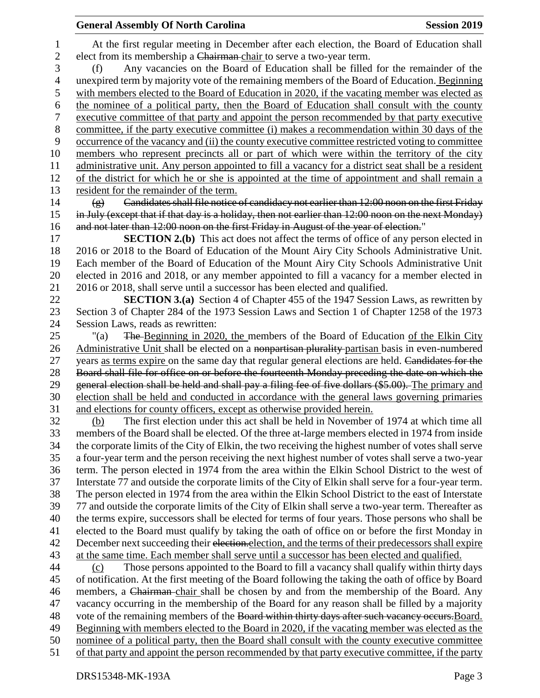## **General Assembly Of North Carolina Session 2019 Session 2019**

 At the first regular meeting in December after each election, the Board of Education shall elect from its membership a Chairman chair to serve a two-year term. (f) Any vacancies on the Board of Education shall be filled for the remainder of the unexpired term by majority vote of the remaining members of the Board of Education. Beginning with members elected to the Board of Education in 2020, if the vacating member was elected as the nominee of a political party, then the Board of Education shall consult with the county executive committee of that party and appoint the person recommended by that party executive committee, if the party executive committee (i) makes a recommendation within 30 days of the occurrence of the vacancy and (ii) the county executive committee restricted voting to committee members who represent precincts all or part of which were within the territory of the city administrative unit. Any person appointed to fill a vacancy for a district seat shall be a resident of the district for which he or she is appointed at the time of appointment and shall remain a resident for the remainder of the term. (g) Candidates shall file notice of candidacy not earlier than 12:00 noon on the first Friday in July (except that if that day is a holiday, then not earlier than 12:00 noon on the next Monday) 16 and not later than 12:00 noon on the first Friday in August of the year of election." **SECTION 2.(b)** This act does not affect the terms of office of any person elected in 2016 or 2018 to the Board of Education of the Mount Airy City Schools Administrative Unit. Each member of the Board of Education of the Mount Airy City Schools Administrative Unit elected in 2016 and 2018, or any member appointed to fill a vacancy for a member elected in 2016 or 2018, shall serve until a successor has been elected and qualified. **SECTION 3.(a)** Section 4 of Chapter 455 of the 1947 Session Laws, as rewritten by Section 3 of Chapter 284 of the 1973 Session Laws and Section 1 of Chapter 1258 of the 1973 Session Laws, reads as rewritten: "(a) The Beginning in 2020, the members of the Board of Education of the Elkin City 26 Administrative Unit shall be elected on a nonpartisan plurality-partisan basis in even-numbered 27 years as terms expire on the same day that regular general elections are held. Candidates for the Board shall file for office on or before the fourteenth Monday preceding the date on which the 29 general election shall be held and shall pay a filing fee of five dollars (\$5.00). The primary and election shall be held and conducted in accordance with the general laws governing primaries and elections for county officers, except as otherwise provided herein. (b) The first election under this act shall be held in November of 1974 at which time all members of the Board shall be elected. Of the three at-large members elected in 1974 from inside the corporate limits of the City of Elkin, the two receiving the highest number of votes shall serve a four-year term and the person receiving the next highest number of votes shall serve a two-year term. The person elected in 1974 from the area within the Elkin School District to the west of Interstate 77 and outside the corporate limits of the City of Elkin shall serve for a four-year term. The person elected in 1974 from the area within the Elkin School District to the east of Interstate 77 and outside the corporate limits of the City of Elkin shall serve a two-year term. Thereafter as the terms expire, successors shall be elected for terms of four years. Those persons who shall be elected to the Board must qualify by taking the oath of office on or before the first Monday in 42 December next succeeding their election. election, and the terms of their predecessors shall expire at the same time. Each member shall serve until a successor has been elected and qualified. (c) Those persons appointed to the Board to fill a vacancy shall qualify within thirty days of notification. At the first meeting of the Board following the taking the oath of office by Board members, a Chairman chair shall be chosen by and from the membership of the Board. Any vacancy occurring in the membership of the Board for any reason shall be filled by a majority 48 vote of the remaining members of the Board within thirty days after such vacancy occurs. Board. Beginning with members elected to the Board in 2020, if the vacating member was elected as the nominee of a political party, then the Board shall consult with the county executive committee of that party and appoint the person recommended by that party executive committee, if the party